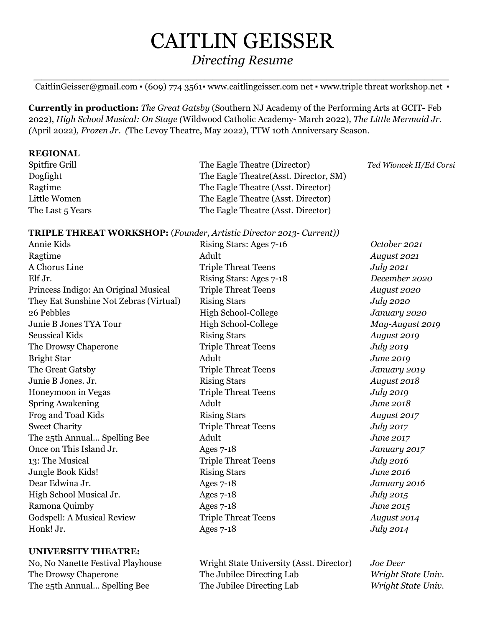# CAITLIN GEISSER *Directing Resume*

*\_\_\_\_\_\_\_\_\_\_\_\_\_\_\_\_\_\_\_\_\_\_\_\_\_\_\_\_\_\_\_\_\_\_\_\_\_\_\_\_\_\_\_\_\_\_\_\_\_\_\_* CaitlinGeisser@gmail.com • (609) 774 3561• www.caitlingeisser.com net • www.triple threat [workshop.net](http://www.triplethreatworkshop.net) •

**Currently in production:** *The Great Gatsby* (Southern NJ Academy of the Performing Arts at GCIT- Feb 2022), *High School Musical: On Stage (*Wildwood Catholic Academy- March 2022)*, The Little Mermaid Jr. (*April 2022)*, Frozen Jr. (*The Levoy Theatre, May 2022), TTW 10th Anniversary Season.

#### **REGIONAL**

| Spitfire Grill   | The Eagle Theatre (Director)           |
|------------------|----------------------------------------|
| Dogfight         | The Eagle Theatre (Asst. Director, SM) |
| Ragtime          | The Eagle Theatre (Asst. Director)     |
| Little Women     | The Eagle Theatre (Asst. Director)     |
| The Last 5 Years | The Eagle Theatre (Asst. Director)     |

Spitfire Grill The Eagle Theatre (Director) *Ted Wioncek II/Ed Corsi*

### **TRIPLE THREAT WORKSHOP:** (*Founder, Artistic Director 2013- Current))*

| Annie Kids                             | Rising Stars: Ages 7-16    | October 2021     |
|----------------------------------------|----------------------------|------------------|
| Ragtime                                | Adult                      | August 2021      |
| A Chorus Line                          | <b>Triple Threat Teens</b> | July 2021        |
| Elf Jr.                                | Rising Stars: Ages 7-18    | December 2020    |
| Princess Indigo: An Original Musical   | <b>Triple Threat Teens</b> | August 2020      |
| They Eat Sunshine Not Zebras (Virtual) | <b>Rising Stars</b>        | July 2020        |
| 26 Pebbles                             | High School-College        | January 2020     |
| Junie B Jones TYA Tour                 | <b>High School-College</b> | May-August 2019  |
| <b>Seussical Kids</b>                  | <b>Rising Stars</b>        | August 2019      |
| The Drowsy Chaperone                   | <b>Triple Threat Teens</b> | July 2019        |
| <b>Bright Star</b>                     | Adult                      | June 2019        |
| The Great Gatsby                       | <b>Triple Threat Teens</b> | January 2019     |
| Junie B Jones. Jr.                     | <b>Rising Stars</b>        | August 2018      |
| Honeymoon in Vegas                     | <b>Triple Threat Teens</b> | July 2019        |
| <b>Spring Awakening</b>                | Adult                      | June 2018        |
| Frog and Toad Kids                     | <b>Rising Stars</b>        | August 2017      |
| <b>Sweet Charity</b>                   | <b>Triple Threat Teens</b> | July 2017        |
| The 25th Annual Spelling Bee           | Adult                      | June 2017        |
| Once on This Island Jr.                | Ages $7-18$                | January 2017     |
| 13: The Musical                        | <b>Triple Threat Teens</b> | <b>July 2016</b> |
| Jungle Book Kids!                      | <b>Rising Stars</b>        | June 2016        |
| Dear Edwina Jr.                        | <b>Ages 7-18</b>           | January 2016     |
| High School Musical Jr.                | <b>Ages 7-18</b>           | July 2015        |
| Ramona Quimby                          | <b>Ages 7-18</b>           | June 2015        |
| <b>Godspell: A Musical Review</b>      | <b>Triple Threat Teens</b> | August 2014      |
| Honk! Jr.                              | <b>Ages 7-18</b>           | July 2014        |
|                                        |                            |                  |

#### **UNIVERSITY THEATRE:**

No, No Nanette Festival Playhouse Wright State University (Asst. Director) *Joe Deer* The Drowsy Chaperone The Jubilee Directing Lab *Wright State Univ.* The 25th Annual... Spelling Bee The Jubilee Directing Lab *Wright State Univ.*